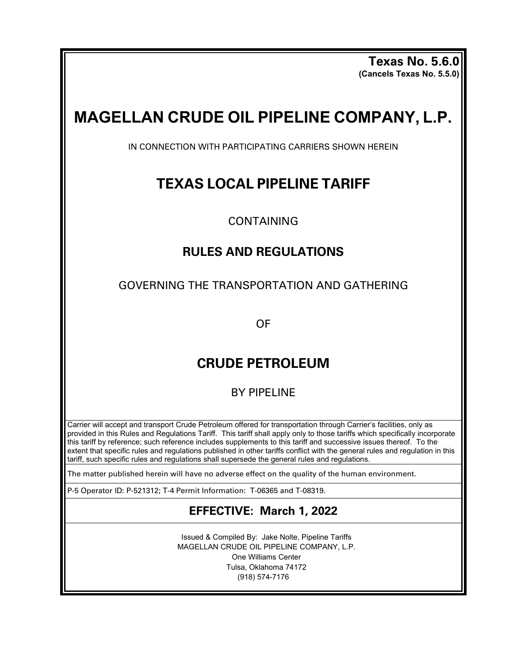**Texas No. 5.6.0 (Cancels Texas No. 5.5.0)**

# **MAGELLAN CRUDE OIL PIPELINE COMPANY, L.P.**

IN CONNECTION WITH PARTICIPATING CARRIERS SHOWN HEREIN

# **TEXAS LOCAL PIPELINE TARIFF**

CONTAINING

# **RULES AND REGULATIONS**

GOVERNING THE TRANSPORTATION AND GATHERING

OF

# **CRUDE PETROLEUM**

BY PIPELINE

Carrier will accept and transport Crude Petroleum offered for transportation through Carrier's facilities, only as provided in this Rules and Regulations Tariff. This tariff shall apply only to those tariffs which specifically incorporate this tariff by reference; such reference includes supplements to this tariff and successive issues thereof. To the extent that specific rules and regulations published in other tariffs conflict with the general rules and regulation in this tariff, such specific rules and regulations shall supersede the general rules and regulations.

The matter published herein will have no adverse effect on the quality of the human environment.

P-5 Operator ID: P-521312; T-4 Permit Information: T-06365 and T-08319.

# **EFFECTIVE: March 1, 2022**

Issued & Compiled By: Jake Nolte, Pipeline Tariffs MAGELLAN CRUDE OIL PIPELINE COMPANY, L.P. One Williams Center Tulsa, Oklahoma 74172 (918) 574-7176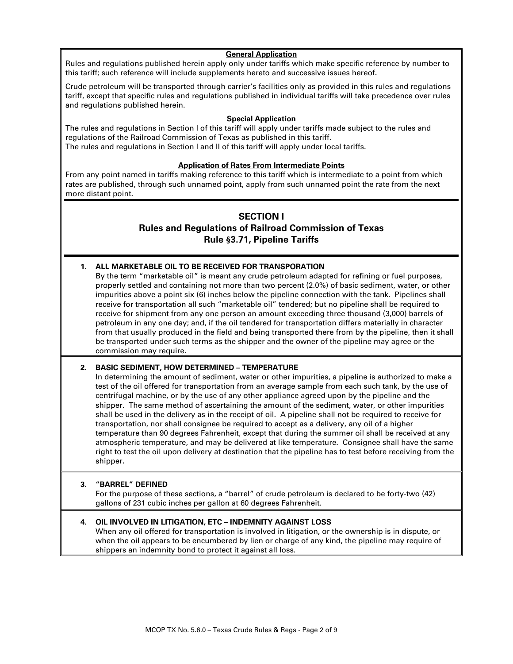#### **General Application**

Rules and regulations published herein apply only under tariffs which make specific reference by number to this tariff; such reference will include supplements hereto and successive issues hereof**.**

Crude petroleum will be transported through carrier's facilities only as provided in this rules and regulations tariff, except that specific rules and regulations published in individual tariffs will take precedence over rules and regulations published herein.

### **Special Application**

The rules and regulations in Section I of this tariff will apply under tariffs made subject to the rules and regulations of the Railroad Commission of Texas as published in this tariff. The rules and regulations in Section I and II of this tariff will apply under local tariffs.

#### **Application of Rates From Intermediate Points**

From any point named in tariffs making reference to this tariff which is intermediate to a point from which rates are published, through such unnamed point, apply from such unnamed point the rate from the next more distant point.

# **SECTION I**

# **Rules and Regulations of Railroad Commission of Texas Rule §3.71, Pipeline Tariffs**

# **1. ALL MARKETABLE OIL TO BE RECEIVED FOR TRANSPORATION**

By the term "marketable oil" is meant any crude petroleum adapted for refining or fuel purposes, properly settled and containing not more than two percent (2.0%) of basic sediment, water, or other impurities above a point six (6) inches below the pipeline connection with the tank. Pipelines shall receive for transportation all such "marketable oil" tendered; but no pipeline shall be required to receive for shipment from any one person an amount exceeding three thousand (3,000) barrels of petroleum in any one day; and, if the oil tendered for transportation differs materially in character from that usually produced in the field and being transported there from by the pipeline, then it shall be transported under such terms as the shipper and the owner of the pipeline may agree or the commission may require.

### **2. BASIC SEDIMENT, HOW DETERMINED – TEMPERATURE**

In determining the amount of sediment, water or other impurities, a pipeline is authorized to make a test of the oil offered for transportation from an average sample from each such tank, by the use of centrifugal machine, or by the use of any other appliance agreed upon by the pipeline and the shipper. The same method of ascertaining the amount of the sediment, water, or other impurities shall be used in the delivery as in the receipt of oil. A pipeline shall not be required to receive for transportation, nor shall consignee be required to accept as a delivery, any oil of a higher temperature than 90 degrees Fahrenheit, except that during the summer oil shall be received at any atmospheric temperature, and may be delivered at like temperature. Consignee shall have the same right to test the oil upon delivery at destination that the pipeline has to test before receiving from the shipper**.**

### **3. "BARREL" DEFINED**

For the purpose of these sections, a "barrel" of crude petroleum is declared to be forty-two (42) gallons of 231 cubic inches per gallon at 60 degrees Fahrenheit.

# **4. OIL INVOLVED IN LITIGATION, ETC – INDEMNITY AGAINST LOSS**

When any oil offered for transportation is involved in litigation, or the ownership is in dispute, or when the oil appears to be encumbered by lien or charge of any kind, the pipeline may require of shippers an indemnity bond to protect it against all loss.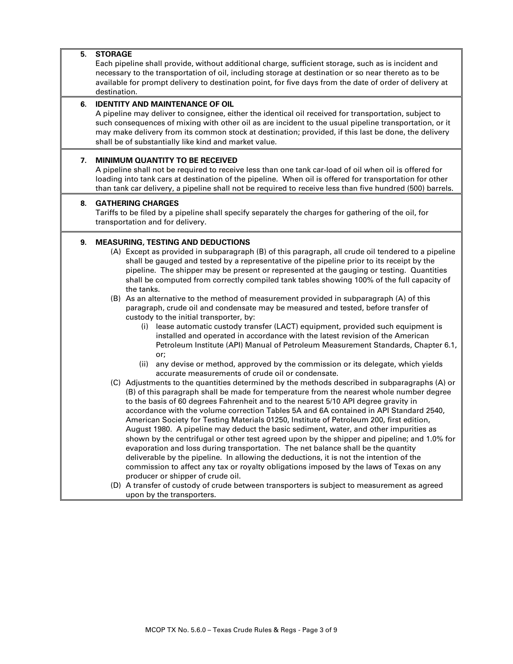### **5. STORAGE**

Each pipeline shall provide, without additional charge, sufficient storage, such as is incident and necessary to the transportation of oil, including storage at destination or so near thereto as to be available for prompt delivery to destination point, for five days from the date of order of delivery at destination.

# **6. IDENTITY AND MAINTENANCE OF OIL**

A pipeline may deliver to consignee, either the identical oil received for transportation, subject to such consequences of mixing with other oil as are incident to the usual pipeline transportation, or it may make delivery from its common stock at destination; provided, if this last be done, the delivery shall be of substantially like kind and market value.

### **7. MINIMUM QUANTITY TO BE RECEIVED**

A pipeline shall not be required to receive less than one tank car-load of oil when oil is offered for loading into tank cars at destination of the pipeline. When oil is offered for transportation for other than tank car delivery, a pipeline shall not be required to receive less than five hundred (500) barrels.

### **8. GATHERING CHARGES**

Tariffs to be filed by a pipeline shall specify separately the charges for gathering of the oil, for transportation and for delivery.

# **9. MEASURING, TESTING AND DEDUCTIONS**

(A) Except as provided in subparagraph (B) of this paragraph, all crude oil tendered to a pipeline shall be gauged and tested by a representative of the pipeline prior to its receipt by the pipeline. The shipper may be present or represented at the gauging or testing. Quantities shall be computed from correctly compiled tank tables showing 100% of the full capacity of the tanks.

(B) As an alternative to the method of measurement provided in subparagraph (A) of this paragraph, crude oil and condensate may be measured and tested, before transfer of custody to the initial transporter, by:

- (i) lease automatic custody transfer (LACT) equipment, provided such equipment is installed and operated in accordance with the latest revision of the American Petroleum Institute (API) Manual of Petroleum Measurement Standards, Chapter 6.1, or;
- (ii) any devise or method, approved by the commission or its delegate, which yields accurate measurements of crude oil or condensate.
- (C) Adjustments to the quantities determined by the methods described in subparagraphs (A) or (B) of this paragraph shall be made for temperature from the nearest whole number degree to the basis of 60 degrees Fahrenheit and to the nearest 5/10 API degree gravity in accordance with the volume correction Tables 5A and 6A contained in API Standard 2540, American Society for Testing Materials 01250, Institute of Petroleum 200, first edition, August 1980. A pipeline may deduct the basic sediment, water, and other impurities as shown by the centrifugal or other test agreed upon by the shipper and pipeline; and 1.0% for evaporation and loss during transportation. The net balance shall be the quantity deliverable by the pipeline. In allowing the deductions, it is not the intention of the commission to affect any tax or royalty obligations imposed by the laws of Texas on any producer or shipper of crude oil.
- (D) A transfer of custody of crude between transporters is subject to measurement as agreed upon by the transporters.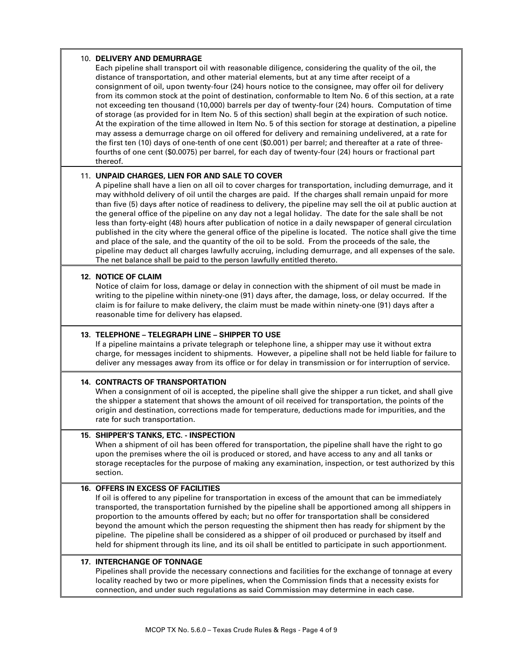### 10. **DELIVERY AND DEMURRAGE**

Each pipeline shall transport oil with reasonable diligence, considering the quality of the oil, the distance of transportation, and other material elements, but at any time after receipt of a consignment of oil, upon twenty-four (24) hours notice to the consignee, may offer oil for delivery from its common stock at the point of destination, conformable to Item No. 6 of this section, at a rate not exceeding ten thousand (10,000) barrels per day of twenty-four (24) hours. Computation of time of storage (as provided for in Item No. 5 of this section) shall begin at the expiration of such notice. At the expiration of the time allowed in Item No. 5 of this section for storage at destination, a pipeline may assess a demurrage charge on oil offered for delivery and remaining undelivered, at a rate for the first ten (10) days of one-tenth of one cent (\$0.001) per barrel; and thereafter at a rate of threefourths of one cent (\$0.0075) per barrel, for each day of twenty-four (24) hours or fractional part thereof.

# 11. **UNPAID CHARGES, LIEN FOR AND SALE TO COVER**

A pipeline shall have a lien on all oil to cover charges for transportation, including demurrage, and it may withhold delivery of oil until the charges are paid. If the charges shall remain unpaid for more than five (5) days after notice of readiness to delivery, the pipeline may sell the oil at public auction at the general office of the pipeline on any day not a legal holiday. The date for the sale shall be not less than forty-eight (48) hours after publication of notice in a daily newspaper of general circulation published in the city where the general office of the pipeline is located. The notice shall give the time and place of the sale, and the quantity of the oil to be sold. From the proceeds of the sale, the pipeline may deduct all charges lawfully accruing, including demurrage, and all expenses of the sale. The net balance shall be paid to the person lawfully entitled thereto.

# **12. NOTICE OF CLAIM**

Notice of claim for loss, damage or delay in connection with the shipment of oil must be made in writing to the pipeline within ninety-one (91) days after, the damage, loss, or delay occurred. If the claim is for failure to make delivery, the claim must be made within ninety-one (91) days after a reasonable time for delivery has elapsed.

### **13. TELEPHONE – TELEGRAPH LINE – SHIPPER TO USE**

If a pipeline maintains a private telegraph or telephone line, a shipper may use it without extra charge, for messages incident to shipments. However, a pipeline shall not be held liable for failure to deliver any messages away from its office or for delay in transmission or for interruption of service.

# **14. CONTRACTS OF TRANSPORTATION**

When a consignment of oil is accepted, the pipeline shall give the shipper a run ticket, and shall give the shipper a statement that shows the amount of oil received for transportation, the points of the origin and destination, corrections made for temperature, deductions made for impurities, and the rate for such transportation.

# **15. SHIPPER'S TANKS, ETC. - INSPECTION**

When a shipment of oil has been offered for transportation, the pipeline shall have the right to go upon the premises where the oil is produced or stored, and have access to any and all tanks or storage receptacles for the purpose of making any examination, inspection, or test authorized by this section.

# **16. OFFERS IN EXCESS OF FACILITIES**

If oil is offered to any pipeline for transportation in excess of the amount that can be immediately transported, the transportation furnished by the pipeline shall be apportioned among all shippers in proportion to the amounts offered by each; but no offer for transportation shall be considered beyond the amount which the person requesting the shipment then has ready for shipment by the pipeline. The pipeline shall be considered as a shipper of oil produced or purchased by itself and held for shipment through its line, and its oil shall be entitled to participate in such apportionment.

# **17. INTERCHANGE OF TONNAGE**

Pipelines shall provide the necessary connections and facilities for the exchange of tonnage at every locality reached by two or more pipelines, when the Commission finds that a necessity exists for connection, and under such regulations as said Commission may determine in each case.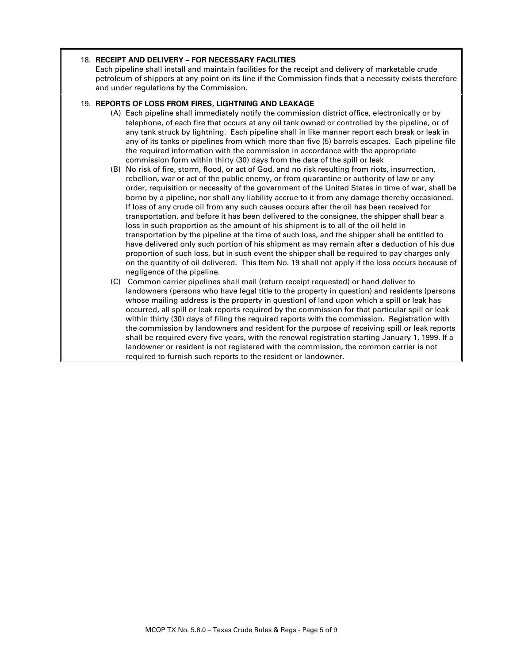### 18. **RECEIPT AND DELIVERY – FOR NECESSARY FACILITIES**

Each pipeline shall install and maintain facilities for the receipt and delivery of marketable crude petroleum of shippers at any point on its line if the Commission finds that a necessity exists therefore and under regulations by the Commission.

# 19. **REPORTS OF LOSS FROM FIRES, LIGHTNING AND LEAKAGE**

- (A) Each pipeline shall immediately notify the commission district office, electronically or by telephone, of each fire that occurs at any oil tank owned or controlled by the pipeline, or of any tank struck by lightning. Each pipeline shall in like manner report each break or leak in any of its tanks or pipelines from which more than five (5) barrels escapes. Each pipeline file the required information with the commission in accordance with the appropriate commission form within thirty (30) days from the date of the spill or leak
- (B) No risk of fire, storm, flood, or act of God, and no risk resulting from riots, insurrection, rebellion, war or act of the public enemy, or from quarantine or authority of law or any order, requisition or necessity of the government of the United States in time of war, shall be borne by a pipeline, nor shall any liability accrue to it from any damage thereby occasioned. If loss of any crude oil from any such causes occurs after the oil has been received for transportation, and before it has been delivered to the consignee, the shipper shall bear a loss in such proportion as the amount of his shipment is to all of the oil held in transportation by the pipeline at the time of such loss, and the shipper shall be entitled to have delivered only such portion of his shipment as may remain after a deduction of his due proportion of such loss, but in such event the shipper shall be required to pay charges only on the quantity of oil delivered. This Item No. 19 shall not apply if the loss occurs because of negligence of the pipeline.
- (C) Common carrier pipelines shall mail (return receipt requested) or hand deliver to landowners (persons who have legal title to the property in question) and residents (persons whose mailing address is the property in question) of land upon which a spill or leak has occurred, all spill or leak reports required by the commission for that particular spill or leak within thirty (30) days of filing the required reports with the commission. Registration with the commission by landowners and resident for the purpose of receiving spill or leak reports shall be required every five years, with the renewal registration starting January 1, 1999. If a landowner or resident is not registered with the commission, the common carrier is not required to furnish such reports to the resident or landowner.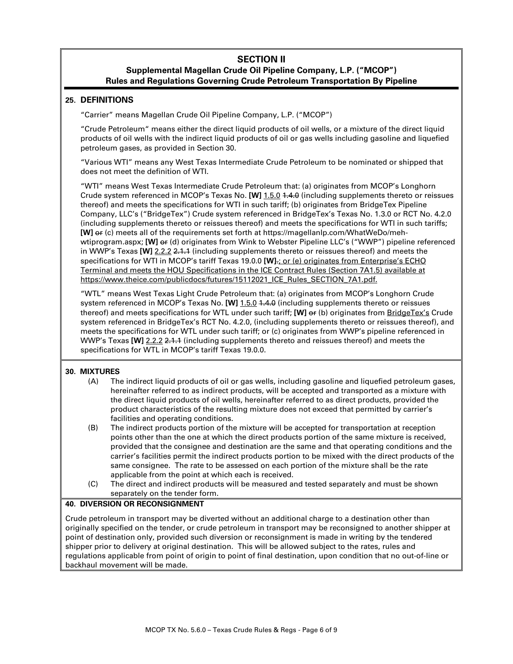# **SECTION II Supplemental Magellan Crude Oil Pipeline Company, L.P. ("MCOP") Rules and Regulations Governing Crude Petroleum Transportation By Pipeline**

# **25. DEFINITIONS**

"Carrier" means Magellan Crude Oil Pipeline Company, L.P. ("MCOP")

"Crude Petroleum" means either the direct liquid products of oil wells, or a mixture of the direct liquid products of oil wells with the indirect liquid products of oil or gas wells including gasoline and liquefied petroleum gases, as provided in Section 30.

"Various WTI" means any West Texas Intermediate Crude Petroleum to be nominated or shipped that does not meet the definition of WTI.

"WTI" means West Texas Intermediate Crude Petroleum that: (a) originates from MCOP's Longhorn Crude system referenced in MCOP's Texas No. **[W]** 1.5.0 1.4.0 (including supplements thereto or reissues thereof) and meets the specifications for WTI in such tariff; (b) originates from BridgeTex Pipeline Company, LLC's ("BridgeTex") Crude system referenced in BridgeTex's Texas No. 1.3.0 or RCT No. 4.2.0 (including supplements thereto or reissues thereof) and meets the specifications for WTI in such tariffs; **[W]**  $er$  (c) meets all of the requirements set forth at https://magellanlp.com/WhatWeDo/mehwtiprogram.aspx; [W] or (d) originates from Wink to Webster Pipeline LLC's ("WWP") pipeline referenced in WWP's Texas **[W]** 2.2.2 2.1.1 (including supplements thereto or reissues thereof) and meets the specifications for WTI in MCOP's tariff Texas 19.0.0 **[W]**.; or (e) originates from Enterprise's ECHO Terminal and meets the HOU Specifications in the ICE Contract Rules (Section 7A1.5) available at https://www.theice.com/publicdocs/futures/15112021\_ICE\_Rules\_SECTION\_7A1.pdf.

"WTL" means West Texas Light Crude Petroleum that: (a) originates from MCOP's Longhorn Crude system referenced in MCOP's Texas No. **[W]** 1.5.0 1.4.0 (including supplements thereto or reissues thereof) and meets specifications for WTL under such tariff; **[W]** or (b) originates from BridgeTex's Crude system referenced in BridgeTex's RCT No. 4.2.0, (including supplements thereto or reissues thereof), and meets the specifications for WTL under such tariff; or (c) originates from WWP's pipeline referenced in WWP's Texas **[W]** 2.2.2 2.1.1 (including supplements thereto and reissues thereof) and meets the specifications for WTL in MCOP's tariff Texas 19.0.0.

# **30. MIXTURES**

- (A) The indirect liquid products of oil or gas wells, including gasoline and liquefied petroleum gases, hereinafter referred to as indirect products, will be accepted and transported as a mixture with the direct liquid products of oil wells, hereinafter referred to as direct products, provided the product characteristics of the resulting mixture does not exceed that permitted by carrier's facilities and operating conditions.
- (B) The indirect products portion of the mixture will be accepted for transportation at reception points other than the one at which the direct products portion of the same mixture is received, provided that the consignee and destination are the same and that operating conditions and the carrier's facilities permit the indirect products portion to be mixed with the direct products of the same consignee. The rate to be assessed on each portion of the mixture shall be the rate applicable from the point at which each is received.
- (C) The direct and indirect products will be measured and tested separately and must be shown separately on the tender form.

# **40. DIVERSION OR RECONSIGNMENT**

Crude petroleum in transport may be diverted without an additional charge to a destination other than originally specified on the tender, or crude petroleum in transport may be reconsigned to another shipper at point of destination only, provided such diversion or reconsignment is made in writing by the tendered shipper prior to delivery at original destination. This will be allowed subject to the rates, rules and regulations applicable from point of origin to point of final destination, upon condition that no out-of-line or backhaul movement will be made.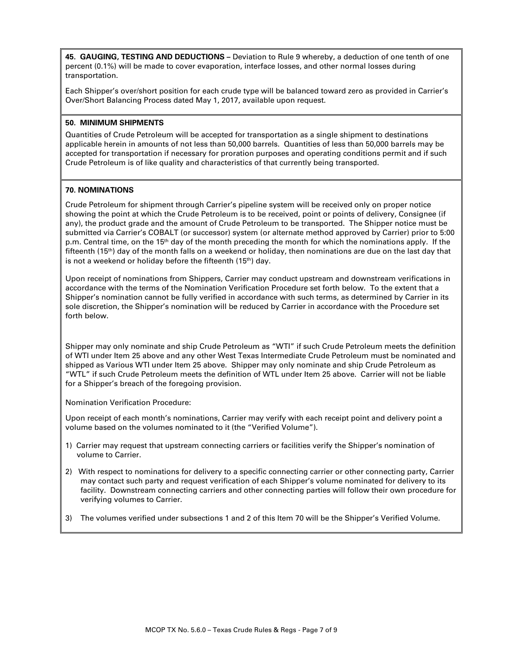**45. GAUGING, TESTING AND DEDUCTIONS –** Deviation to Rule 9 whereby, a deduction of one tenth of one percent (0.1%) will be made to cover evaporation, interface losses, and other normal losses during transportation.

Each Shipper's over/short position for each crude type will be balanced toward zero as provided in Carrier's Over/Short Balancing Process dated May 1, 2017, available upon request.

# **50. MINIMUM SHIPMENTS**

Quantities of Crude Petroleum will be accepted for transportation as a single shipment to destinations applicable herein in amounts of not less than 50,000 barrels. Quantities of less than 50,000 barrels may be accepted for transportation if necessary for proration purposes and operating conditions permit and if such Crude Petroleum is of like quality and characteristics of that currently being transported.

# **70. NOMINATIONS**

Crude Petroleum for shipment through Carrier's pipeline system will be received only on proper notice showing the point at which the Crude Petroleum is to be received, point or points of delivery, Consignee (if any), the product grade and the amount of Crude Petroleum to be transported. The Shipper notice must be submitted via Carrier's COBALT (or successor) system (or alternate method approved by Carrier) prior to 5:00 p.m. Central time, on the 15<sup>th</sup> day of the month preceding the month for which the nominations apply. If the fifteenth (15th) day of the month falls on a weekend or holiday, then nominations are due on the last day that is not a weekend or holiday before the fifteenth (15th) day.

Upon receipt of nominations from Shippers, Carrier may conduct upstream and downstream verifications in accordance with the terms of the Nomination Verification Procedure set forth below. To the extent that a Shipper's nomination cannot be fully verified in accordance with such terms, as determined by Carrier in its sole discretion, the Shipper's nomination will be reduced by Carrier in accordance with the Procedure set forth below.

Shipper may only nominate and ship Crude Petroleum as "WTI" if such Crude Petroleum meets the definition of WTI under Item 25 above and any other West Texas Intermediate Crude Petroleum must be nominated and shipped as Various WTI under Item 25 above. Shipper may only nominate and ship Crude Petroleum as "WTL" if such Crude Petroleum meets the definition of WTL under Item 25 above. Carrier will not be liable for a Shipper's breach of the foregoing provision.

Nomination Verification Procedure:

Upon receipt of each month's nominations, Carrier may verify with each receipt point and delivery point a volume based on the volumes nominated to it (the "Verified Volume").

- 1) Carrier may request that upstream connecting carriers or facilities verify the Shipper's nomination of volume to Carrier.
- 2) With respect to nominations for delivery to a specific connecting carrier or other connecting party, Carrier may contact such party and request verification of each Shipper's volume nominated for delivery to its facility. Downstream connecting carriers and other connecting parties will follow their own procedure for verifying volumes to Carrier.
- 3) The volumes verified under subsections 1 and 2 of this Item 70 will be the Shipper's Verified Volume.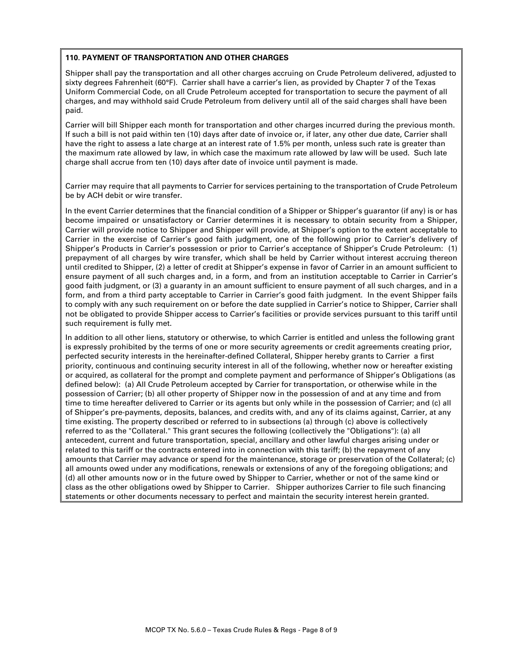### **110. PAYMENT OF TRANSPORTATION AND OTHER CHARGES**

Shipper shall pay the transportation and all other charges accruing on Crude Petroleum delivered, adjusted to sixty degrees Fahrenheit (60°F). Carrier shall have a carrier's lien, as provided by Chapter 7 of the Texas Uniform Commercial Code, on all Crude Petroleum accepted for transportation to secure the payment of all charges, and may withhold said Crude Petroleum from delivery until all of the said charges shall have been paid.

Carrier will bill Shipper each month for transportation and other charges incurred during the previous month. If such a bill is not paid within ten (10) days after date of invoice or, if later, any other due date, Carrier shall have the right to assess a late charge at an interest rate of 1.5% per month, unless such rate is greater than the maximum rate allowed by law, in which case the maximum rate allowed by law will be used. Such late charge shall accrue from ten (10) days after date of invoice until payment is made.

Carrier may require that all payments to Carrier for services pertaining to the transportation of Crude Petroleum be by ACH debit or wire transfer.

In the event Carrier determines that the financial condition of a Shipper or Shipper's guarantor (if any) is or has become impaired or unsatisfactory or Carrier determines it is necessary to obtain security from a Shipper, Carrier will provide notice to Shipper and Shipper will provide, at Shipper's option to the extent acceptable to Carrier in the exercise of Carrier's good faith judgment, one of the following prior to Carrier's delivery of Shipper's Products in Carrier's possession or prior to Carrier's acceptance of Shipper's Crude Petroleum: (1) prepayment of all charges by wire transfer, which shall be held by Carrier without interest accruing thereon until credited to Shipper, (2) a letter of credit at Shipper's expense in favor of Carrier in an amount sufficient to ensure payment of all such charges and, in a form, and from an institution acceptable to Carrier in Carrier's good faith judgment, or (3) a guaranty in an amount sufficient to ensure payment of all such charges, and in a form, and from a third party acceptable to Carrier in Carrier's good faith judgment. In the event Shipper fails to comply with any such requirement on or before the date supplied in Carrier's notice to Shipper, Carrier shall not be obligated to provide Shipper access to Carrier's facilities or provide services pursuant to this tariff until such requirement is fully met.

In addition to all other liens, statutory or otherwise, to which Carrier is entitled and unless the following grant is expressly prohibited by the terms of one or more security agreements or credit agreements creating prior, perfected security interests in the hereinafter-defined Collateral, Shipper hereby grants to Carrier a first priority, continuous and continuing security interest in all of the following, whether now or hereafter existing or acquired, as collateral for the prompt and complete payment and performance of Shipper's Obligations (as defined below): (a) All Crude Petroleum accepted by Carrier for transportation, or otherwise while in the possession of Carrier; (b) all other property of Shipper now in the possession of and at any time and from time to time hereafter delivered to Carrier or its agents but only while in the possession of Carrier; and (c) all of Shipper's pre-payments, deposits, balances, and credits with, and any of its claims against, Carrier, at any time existing. The property described or referred to in subsections (a) through (c) above is collectively referred to as the "Collateral." This grant secures the following (collectively the "Obligations"): (a) all antecedent, current and future transportation, special, ancillary and other lawful charges arising under or related to this tariff or the contracts entered into in connection with this tariff; (b) the repayment of any amounts that Carrier may advance or spend for the maintenance, storage or preservation of the Collateral; (c) all amounts owed under any modifications, renewals or extensions of any of the foregoing obligations; and (d) all other amounts now or in the future owed by Shipper to Carrier, whether or not of the same kind or class as the other obligations owed by Shipper to Carrier. Shipper authorizes Carrier to file such financing statements or other documents necessary to perfect and maintain the security interest herein granted.